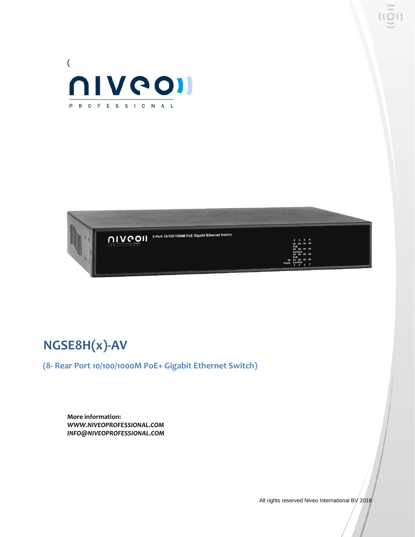



# **NGSE8H(x)-AV**

**(8- Rear Port 10/100/1000M PoE+ Gigabit Ethernet Switch)**

**More information:** *WWW.NIVEOPROFESSIONAL.COM INFO@NIVEOPROFESSIONAL.COM*

All rights reserved Niveo International BV 2018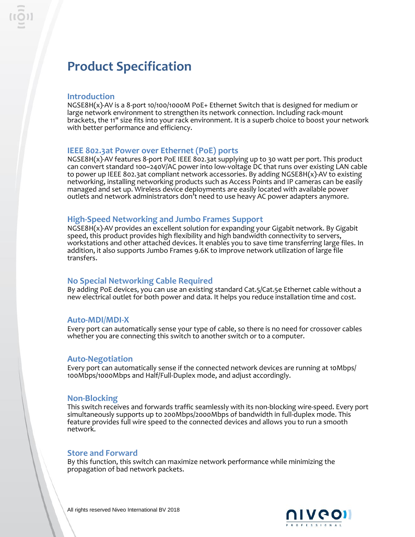## **Product Specification**

#### **Introduction**

NGSE8H(x)-AV is a 8-port 10/100/1000M PoE+ Ethernet Switch that is designed for medium or large network environment to strengthen its network connection. Including rack-mount brackets, the 11" size fits into your rack environment. It is a superb choice to boost your network with better performance and efficiency.

### **IEEE 802.3at Power over Ethernet (PoE) ports**

NGSE8H(x)-AV features 8-port PoE IEEE 802.3at supplying up to 30 watt per port. This product can convert standard 100~240V/AC power into low-voltage DC that runs over existing LAN cable to power up IEEE 802.3at compliant network accessories. By adding NGSE8H(x)-AV to existing networking, installing networking products such as Access Points and IP cameras can be easily managed and set up. Wireless device deployments are easily located with available power outlets and network administrators don't need to use heavy AC power adapters anymore.

### **High-Speed Networking and Jumbo Frames Support**

NGSE8H(x)-AV provides an excellent solution for expanding your Gigabit network. By Gigabit speed, this product provides high flexibility and high bandwidth connectivity to servers, workstations and other attached devices. It enables you to save time transferring large files. In addition, it also supports Jumbo Frames 9.6K to improve network utilization of large file transfers.

#### **No Special Networking Cable Required**

By adding PoE devices, you can use an existing standard Cat.5/Cat.5e Ethernet cable without a new electrical outlet for both power and data. It helps you reduce installation time and cost.

#### **Auto-MDI/MDI-X**

Every port can automatically sense your type of cable, so there is no need for crossover cables whether you are connecting this switch to another switch or to a computer.

#### **Auto-Negotiation**

Every port can automatically sense if the connected network devices are running at 10Mbps/ 100Mbps/1000Mbps and Half/Full-Duplex mode, and adjust accordingly.

#### **Non-Blocking**

This switch receives and forwards traffic seamlessly with its non-blocking wire-speed. Every port simultaneously supports up to 200Mbps/2000Mbps of bandwidth in full-duplex mode. This feature provides full wire speed to the connected devices and allows you to run a smooth network.

#### **Store and Forward**

By this function, this switch can maximize network performance while minimizing the propagation of bad network packets.